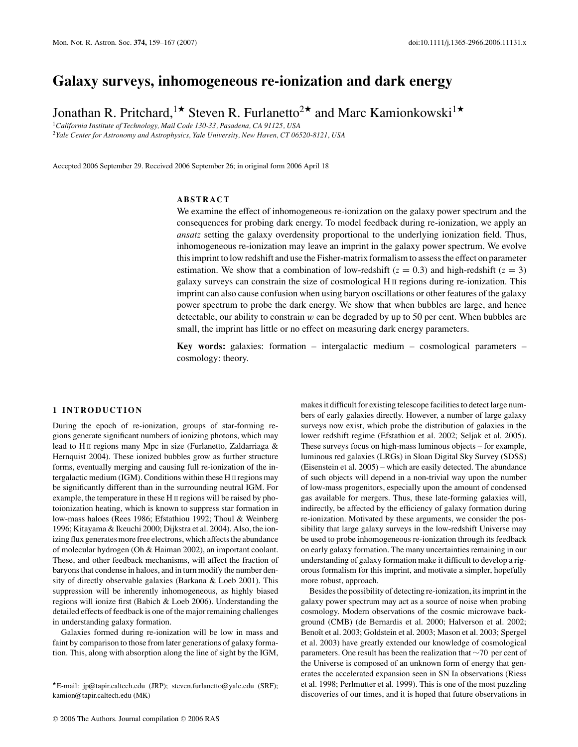# **Galaxy surveys, inhomogeneous re-ionization and dark energy**

Jonathan R. Pritchard,<sup>1\*</sup> Steven R. Furlanetto<sup>2\*</sup> and Marc Kamionkowski<sup>1\*</sup>

<sup>1</sup>*California Institute of Technology, Mail Code 130-33, Pasadena, CA 91125, USA* <sup>2</sup>*Yale Center for Astronomy and Astrophysics, Yale University, New Haven, CT 06520-8121, USA*

Accepted 2006 September 29. Received 2006 September 26; in original form 2006 April 18

# **ABSTRACT**

We examine the effect of inhomogeneous re-ionization on the galaxy power spectrum and the consequences for probing dark energy. To model feedback during re-ionization, we apply an *ansatz* setting the galaxy overdensity proportional to the underlying ionization field. Thus, inhomogeneous re-ionization may leave an imprint in the galaxy power spectrum. We evolve this imprint to low redshift and use the Fisher-matrix formalism to assess the effect on parameter estimation. We show that a combination of low-redshift ( $z = 0.3$ ) and high-redshift ( $z = 3$ ) galaxy surveys can constrain the size of cosmological H II regions during re-ionization. This imprint can also cause confusion when using baryon oscillations or other features of the galaxy power spectrum to probe the dark energy. We show that when bubbles are large, and hence detectable, our ability to constrain  $w$  can be degraded by up to 50 per cent. When bubbles are small, the imprint has little or no effect on measuring dark energy parameters.

**Key words:** galaxies: formation – intergalactic medium – cosmological parameters – cosmology: theory.

#### **1 INTRODUCTION**

During the epoch of re-ionization, groups of star-forming regions generate significant numbers of ionizing photons, which may lead to H<sub>II</sub> regions many Mpc in size (Furlanetto, Zaldarriaga & Hernquist 2004). These ionized bubbles grow as further structure forms, eventually merging and causing full re-ionization of the intergalactic medium (IGM). Conditions within these H II regions may be significantly different than in the surrounding neutral IGM. For example, the temperature in these H II regions will be raised by photoionization heating, which is known to suppress star formation in low-mass haloes (Rees 1986; Efstathiou 1992; Thoul & Weinberg 1996; Kitayama & Ikeuchi 2000; Dijkstra et al. 2004). Also, the ionizing flux generates more free electrons, which affects the abundance of molecular hydrogen (Oh & Haiman 2002), an important coolant. These, and other feedback mechanisms, will affect the fraction of baryons that condense in haloes, and in turn modify the number density of directly observable galaxies (Barkana & Loeb 2001). This suppression will be inherently inhomogeneous, as highly biased regions will ionize first (Babich & Loeb 2006). Understanding the detailed effects of feedback is one of the major remaining challenges in understanding galaxy formation.

Galaxies formed during re-ionization will be low in mass and faint by comparison to those from later generations of galaxy formation. This, along with absorption along the line of sight by the IGM,

-E-mail: jp@tapir.caltech.edu (JRP); steven.furlanetto@yale.edu (SRF); kamion@tapir.caltech.edu (MK)

© 2006 The Authors. Journal compilation © 2006 RAS

makes it difficult for existing telescope facilities to detect large numbers of early galaxies directly. However, a number of large galaxy surveys now exist, which probe the distribution of galaxies in the lower redshift regime (Efstathiou et al. 2002; Seljak et al. 2005). These surveys focus on high-mass luminous objects – for example, luminous red galaxies (LRGs) in Sloan Digital Sky Survey (SDSS) (Eisenstein et al. 2005) – which are easily detected. The abundance of such objects will depend in a non-trivial way upon the number of low-mass progenitors, especially upon the amount of condensed gas available for mergers. Thus, these late-forming galaxies will, indirectly, be affected by the efficiency of galaxy formation during re-ionization. Motivated by these arguments, we consider the possibility that large galaxy surveys in the low-redshift Universe may be used to probe inhomogeneous re-ionization through its feedback on early galaxy formation. The many uncertainties remaining in our understanding of galaxy formation make it difficult to develop a rigorous formalism for this imprint, and motivate a simpler, hopefully more robust, approach.

Besides the possibility of detecting re-ionization, its imprint in the galaxy power spectrum may act as a source of noise when probing cosmology. Modern observations of the cosmic microwave background (CMB) (de Bernardis et al. 2000; Halverson et al. 2002; Benoît et al. 2003; Goldstein et al. 2003; Mason et al. 2003; Spergel et al. 2003) have greatly extended our knowledge of cosmological parameters. One result has been the realization that ∼70 per cent of the Universe is composed of an unknown form of energy that generates the accelerated expansion seen in SN Ia observations (Riess et al. 1998; Perlmutter et al. 1999). This is one of the most puzzling discoveries of our times, and it is hoped that future observations in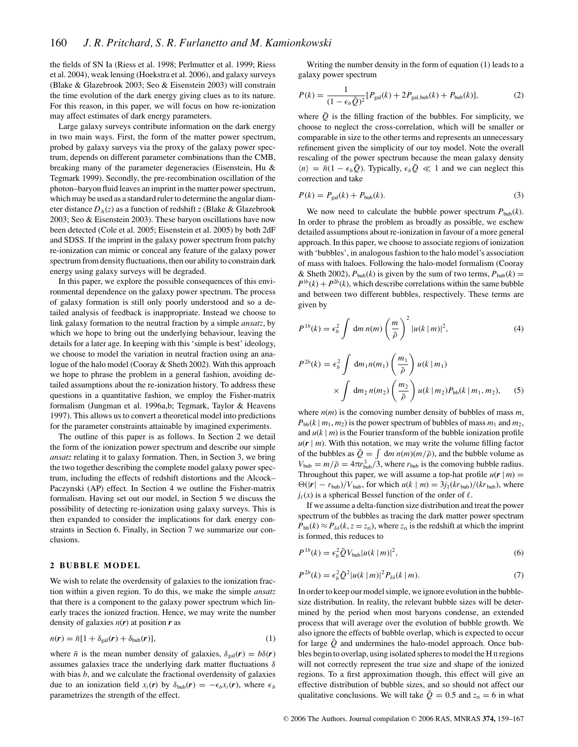the fields of SN Ia (Riess et al. 1998; Perlmutter et al. 1999; Riess et al. 2004), weak lensing (Hoekstra et al. 2006), and galaxy surveys (Blake & Glazebrook 2003; Seo & Eisenstein 2003) will constrain the time evolution of the dark energy giving clues as to its nature. For this reason, in this paper, we will focus on how re-ionization may affect estimates of dark energy parameters.

Large galaxy surveys contribute information on the dark energy in two main ways. First, the form of the matter power spectrum, probed by galaxy surveys via the proxy of the galaxy power spectrum, depends on different parameter combinations than the CMB, breaking many of the parameter degeneracies (Eisenstein, Hu & Tegmark 1999). Secondly, the pre-recombination oscillation of the photon–baryon fluid leaves an imprint in the matter power spectrum, which may be used as a standard ruler to determine the angular diameter distance  $D_{\Delta}(z)$  as a function of redshift *z* (Blake & Glazebrook 2003; Seo & Eisenstein 2003). These baryon oscillations have now been detected (Cole et al. 2005; Eisenstein et al. 2005) by both 2dF and SDSS. If the imprint in the galaxy power spectrum from patchy re-ionization can mimic or conceal any feature of the galaxy power spectrum from density fluctuations, then our ability to constrain dark energy using galaxy surveys will be degraded.

In this paper, we explore the possible consequences of this environmental dependence on the galaxy power spectrum. The process of galaxy formation is still only poorly understood and so a detailed analysis of feedback is inappropriate. Instead we choose to link galaxy formation to the neutral fraction by a simple *ansatz*, by which we hope to bring out the underlying behaviour, leaving the details for a later age. In keeping with this 'simple is best' ideology, we choose to model the variation in neutral fraction using an analogue of the halo model (Cooray & Sheth 2002). With this approach we hope to phrase the problem in a general fashion, avoiding detailed assumptions about the re-ionization history. To address these questions in a quantitative fashion, we employ the Fisher-matrix formalism (Jungman et al. 1996a,b; Tegmark, Taylor & Heavens 1997). This allows us to convert a theoretical model into predictions for the parameter constraints attainable by imagined experiments.

The outline of this paper is as follows. In Section 2 we detail the form of the ionization power spectrum and describe our simple *ansatz* relating it to galaxy formation. Then, in Section 3, we bring the two together describing the complete model galaxy power spectrum, including the effects of redshift distortions and the Alcock– Paczynski (AP) effect. In Section 4 we outline the Fisher-matrix formalism. Having set out our model, in Section 5 we discuss the possibility of detecting re-ionization using galaxy surveys. This is then expanded to consider the implications for dark energy constraints in Section 6. Finally, in Section 7 we summarize our conclusions.

# **2 BUBBLE MODEL**

We wish to relate the overdensity of galaxies to the ionization fraction within a given region. To do this, we make the simple *ansatz* that there is a component to the galaxy power spectrum which linearly traces the ionized fraction. Hence, we may write the number density of galaxies  $n(r)$  at position  $r$  as

$$
n(\mathbf{r}) = \bar{n}[1 + \delta_{\text{gal}}(\mathbf{r}) + \delta_{\text{bub}}(\mathbf{r})],\tag{1}
$$

where  $\bar{n}$  is the mean number density of galaxies,  $\delta_{gal}(r) = b\delta(r)$ assumes galaxies trace the underlying dark matter fluctuations  $\delta$ with bias *b*, and we calculate the fractional overdensity of galaxies due to an ionization field  $x_i(\mathbf{r})$  by  $\delta_{\text{bub}}(\mathbf{r}) = -\epsilon_b x_i(\mathbf{r})$ , where  $\epsilon_b$ parametrizes the strength of the effect.

Writing the number density in the form of equation (1) leads to a galaxy power spectrum

$$
P(k) = \frac{1}{(1 - \epsilon_b \bar{Q})^2} [P_{\text{gal}}(k) + 2P_{\text{gal,bub}}(k) + P_{\text{bub}}(k)],\tag{2}
$$

where  $\overline{Q}$  is the filling fraction of the bubbles. For simplicity, we choose to neglect the cross-correlation, which will be smaller or comparable in size to the other terms and represents an unnecessary refinement given the simplicity of our toy model. Note the overall rescaling of the power spectrum because the mean galaxy density  $\langle n \rangle = \bar{n}(1 - \epsilon_b \bar{Q})$ . Typically,  $\epsilon_b \bar{Q} \ll 1$  and we can neglect this correction and take

$$
P(k) = P_{\text{gal}}(k) + P_{\text{bub}}(k). \tag{3}
$$

We now need to calculate the bubble power spectrum  $P_{\text{bub}}(k)$ . In order to phrase the problem as broadly as possible, we eschew detailed assumptions about re-ionization in favour of a more general approach. In this paper, we choose to associate regions of ionization with 'bubbles', in analogous fashion to the halo model's association of mass with haloes. Following the halo-model formalism (Cooray & Sheth 2002),  $P_{\text{bub}}(k)$  is given by the sum of two terms,  $P_{\text{bub}}(k) =$  $P^{1b}(k) + P^{2b}(k)$ , which describe correlations within the same bubble and between two different bubbles, respectively. These terms are given by

$$
P^{1b}(k) = \epsilon_b^2 \int dm n(m) \left(\frac{m}{\bar{\rho}}\right)^2 |u(k|m)|^2,
$$
 (4)

$$
P^{2b}(k) = \epsilon_b^2 \int dm_1 n(m_1) \left(\frac{m_1}{\bar{\rho}}\right) u(k \mid m_1)
$$
  
 
$$
\times \int dm_2 n(m_2) \left(\frac{m_2}{\bar{\rho}}\right) u(k \mid m_2) P_{bb}(k \mid m_1, m_2), \quad (5)
$$

where  $n(m)$  is the comoving number density of bubbles of mass  $m$ ,  $P_{bb}(k | m_1, m_2)$  is the power spectrum of bubbles of mass  $m_1$  and  $m_2$ , and  $u(k | m)$  is the Fourier transform of the bubble ionization profile  $u(r | m)$ . With this notation, we may write the volume filling factor of the bubbles as  $\overline{Q} = \int dm n(m)(m/\overline{p})$ , and the bubble volume as  $V_{\text{bub}} = m/\bar{\rho} = 4\pi r_{\text{bub}}^3/3$ , where  $r_{\text{bub}}$  is the comoving bubble radius. Throughout this paper, we will assume a top-hat profile  $u(r | m)$  =  $\Theta(|\mathbf{r}| - r_{\text{bub}})/V_{\text{bub}}$ , for which  $u(k | m) = 3j_1(kr_{\text{bub}})/(kr_{\text{bub}})$ , where  $j_{\ell}(x)$  is a spherical Bessel function of the order of  $\ell$ .

If we assume a delta-function size distribution and treat the power spectrum of the bubbles as tracing the dark matter power spectrum  $P_{\text{bb}}(k) \approx P_{\delta\delta}(k, z = z_{\text{ri}})$ , where  $z_{\text{ri}}$  is the redshift at which the imprint is formed, this reduces to

$$
P^{1b}(k) = \epsilon_b^2 \bar{Q} V_{\text{bub}} |u(k|m)|^2,
$$
\n(6)

$$
P^{2b}(k) = \epsilon_b^2 \bar{Q}^2 |u(k|m)|^2 P_{\delta\delta}(k|m). \tag{7}
$$

In order to keep our model simple, we ignore evolution in the bubblesize distribution. In reality, the relevant bubble sizes will be determined by the period when most baryons condense, an extended process that will average over the evolution of bubble growth. We also ignore the effects of bubble overlap, which is expected to occur for large  $\overline{Q}$  and undermines the halo-model approach. Once bubbles begin to overlap, using isolated spheres to model the H II regions will not correctly represent the true size and shape of the ionized regions. To a first approximation though, this effect will give an effective distribution of bubble sizes, and so should not affect our qualitative conclusions. We will take  $\overline{Q} = 0.5$  and  $z_{\rm ri} = 6$  in what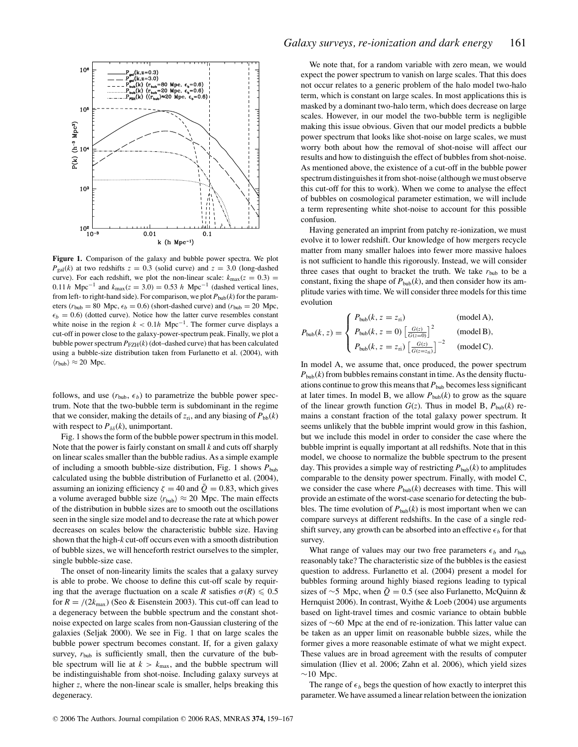

**Figure 1.** Comparison of the galaxy and bubble power spectra. We plot  $P_{\text{gal}}(k)$  at two redshifts  $z = 0.3$  (solid curve) and  $z = 3.0$  (long-dashed curve). For each redshift, we plot the non-linear scale:  $k_{\text{max}}(z = 0.3)$  = 0.11 *h* Mpc<sup>−1</sup> and  $k_{\text{max}}(z = 3.0) = 0.53$  *h* Mpc<sup>−1</sup> (dashed vertical lines, from left- to right-hand side). For comparison, we plot  $P_{\text{bub}}(k)$  for the parameters ( $r_{\text{bub}} = 80$  Mpc,  $\epsilon_b = 0.6$ ) (short-dashed curve) and ( $r_{\text{bub}} = 20$  Mpc,  $\epsilon_b$  = 0.6) (dotted curve). Notice how the latter curve resembles constant white noise in the region  $k < 0.1h$  Mpc<sup>-1</sup>. The former curve displays a cut-off in power close to the galaxy-power-spectrum peak. Finally, we plot a bubble power spectrum  $P_{\text{FZH}}(k)$  (dot–dashed curve) that has been calculated using a bubble-size distribution taken from Furlanetto et al. (2004), with  $\langle r_{\text{bub}} \rangle \approx 20$  Mpc.

follows, and use  $(r_{\text{bub}}, \epsilon_b)$  to parametrize the bubble power spectrum. Note that the two-bubble term is subdominant in the regime that we consider, making the details of  $z_{\text{ri}}$ , and any biasing of  $P_{\text{bb}}(k)$ with respect to  $P_{\delta\delta}(k)$ , unimportant.

Fig. 1 shows the form of the bubble power spectrum in this model. Note that the power is fairly constant on small *k* and cuts off sharply on linear scales smaller than the bubble radius. As a simple example of including a smooth bubble-size distribution, Fig. 1 shows  $P_{\text{bub}}$ calculated using the bubble distribution of Furlanetto et al. (2004), assuming an ionizing efficiency  $\zeta = 40$  and  $\overline{Q} = 0.83$ , which gives a volume averaged bubble size  $\langle r_{\text{bub}} \rangle \approx 20$  Mpc. The main effects of the distribution in bubble sizes are to smooth out the oscillations seen in the single size model and to decrease the rate at which power decreases on scales below the characteristic bubble size. Having shown that the high-*k* cut-off occurs even with a smooth distribution of bubble sizes, we will henceforth restrict ourselves to the simpler, single bubble-size case.

The onset of non-linearity limits the scales that a galaxy survey is able to probe. We choose to define this cut-off scale by requiring that the average fluctuation on a scale *R* satisfies  $\sigma(R) \leq 0.5$ for  $R = (2k_{\text{max}})$  (Seo & Eisenstein 2003). This cut-off can lead to a degeneracy between the bubble spectrum and the constant shotnoise expected on large scales from non-Gaussian clustering of the galaxies (Seljak 2000). We see in Fig. 1 that on large scales the bubble power spectrum becomes constant. If, for a given galaxy survey,  $r_{\text{bub}}$  is sufficiently small, then the curvature of the bubble spectrum will lie at  $k > k_{\text{max}}$ , and the bubble spectrum will be indistinguishable from shot-noise. Including galaxy surveys at higher *z*, where the non-linear scale is smaller, helps breaking this degeneracy.

We note that, for a random variable with zero mean, we would expect the power spectrum to vanish on large scales. That this does not occur relates to a generic problem of the halo model two-halo term, which is constant on large scales. In most applications this is masked by a dominant two-halo term, which does decrease on large scales. However, in our model the two-bubble term is negligible making this issue obvious. Given that our model predicts a bubble power spectrum that looks like shot-noise on large scales, we must worry both about how the removal of shot-noise will affect our results and how to distinguish the effect of bubbles from shot-noise. As mentioned above, the existence of a cut-off in the bubble power spectrum distinguishes it from shot-noise (although we must observe this cut-off for this to work). When we come to analyse the effect of bubbles on cosmological parameter estimation, we will include a term representing white shot-noise to account for this possible confusion.

Having generated an imprint from patchy re-ionization, we must evolve it to lower redshift. Our knowledge of how mergers recycle matter from many smaller haloes into fewer more massive haloes is not sufficient to handle this rigorously. Instead, we will consider three cases that ought to bracket the truth. We take  $r_{\text{bub}}$  to be a constant, fixing the shape of  $P_{\text{bub}}(k)$ , and then consider how its amplitude varies with time. We will consider three models for this time evolution

$$
P_{\text{bub}}(k, z) = \begin{cases} P_{\text{bub}}(k, z = z_{\text{ri}}) & (\text{model A}), \\ P_{\text{bub}}(k, z = 0) \left[ \frac{G(z)}{G(z=0)} \right]^2 & (\text{model B}), \\ P_{\text{bub}}(k, z = z_{\text{ri}}) \left[ \frac{G(z)}{G(z=z_{\text{ri}})} \right]^{-2} & (\text{model C}). \end{cases}
$$

In model A, we assume that, once produced, the power spectrum  $P_{\text{bub}}(k)$  from bubbles remains constant in time. As the density fluctuations continue to grow this means that  $P_{\text{bub}}$  becomes less significant at later times. In model B, we allow  $P_{\text{bub}}(k)$  to grow as the square of the linear growth function  $G(z)$ . Thus in model B,  $P_{\text{bub}}(k)$  remains a constant fraction of the total galaxy power spectrum. It seems unlikely that the bubble imprint would grow in this fashion, but we include this model in order to consider the case where the bubble imprint is equally important at all redshifts. Note that in this model, we choose to normalize the bubble spectrum to the present day. This provides a simple way of restricting  $P_{\text{bub}}(k)$  to amplitudes comparable to the density power spectrum. Finally, with model C, we consider the case where  $P_{\text{bub}}(k)$  decreases with time. This will provide an estimate of the worst-case scenario for detecting the bubbles. The time evolution of  $P_{\text{bub}}(k)$  is most important when we can compare surveys at different redshifts. In the case of a single redshift survey, any growth can be absorbed into an effective  $\epsilon_b$  for that survey.

What range of values may our two free parameters  $\epsilon_b$  and  $r_{\text{bub}}$ reasonably take? The characteristic size of the bubbles is the easiest question to address. Furlanetto et al. (2004) present a model for bubbles forming around highly biased regions leading to typical sizes of ∼5 Mpc, when  $\overline{Q} = 0.5$  (see also Furlanetto, McQuinn & Hernquist 2006). In contrast, Wyithe & Loeb (2004) use arguments based on light-travel times and cosmic variance to obtain bubble sizes of ∼60 Mpc at the end of re-ionization. This latter value can be taken as an upper limit on reasonable bubble sizes, while the former gives a more reasonable estimate of what we might expect. These values are in broad agreement with the results of computer simulation (Iliev et al. 2006; Zahn et al. 2006), which yield sizes  $~\sim$ 10 Mpc.

The range of  $\epsilon_b$  begs the question of how exactly to interpret this parameter. We have assumed a linear relation between the ionization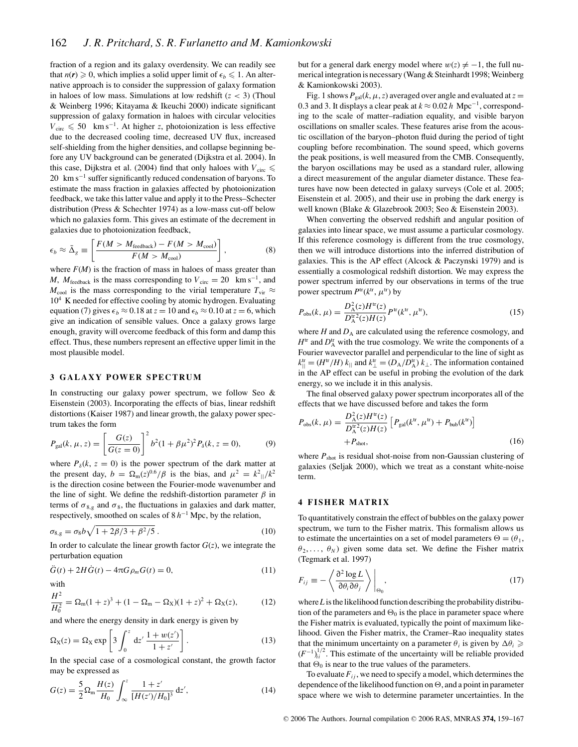fraction of a region and its galaxy overdensity. We can readily see that  $n(r) \ge 0$ , which implies a solid upper limit of  $\epsilon_b \le 1$ . An alternative approach is to consider the suppression of galaxy formation in haloes of low mass. Simulations at low redshift (*z* < 3) (Thoul & Weinberg 1996; Kitayama & Ikeuchi 2000) indicate significant suppression of galaxy formation in haloes with circular velocities  $V_{\text{circ}} \leq 50$  km s<sup>-1</sup>. At higher *z*, photoionization is less effective due to the decreased cooling time, decreased UV flux, increased self-shielding from the higher densities, and collapse beginning before any UV background can be generated (Dijkstra et al. 2004). In this case, Dijkstra et al. (2004) find that only haloes with  $V_{\text{circ}} \leq$ 20 km s<sup>-1</sup> suffer significantly reduced condensation of baryons. To estimate the mass fraction in galaxies affected by photoionization feedback, we take this latter value and apply it to the Press–Schecter distribution (Press & Schechter 1974) as a low-mass cut-off below which no galaxies form. This gives an estimate of the decrement in galaxies due to photoionization feedback,

$$
\epsilon_b \approx \bar{\Delta}_g \equiv \left[ \frac{F(M > M_{\text{feedback}}) - F(M > M_{\text{cool}})}{F(M > M_{\text{cool}})} \right],\tag{8}
$$

where  $F(M)$  is the fraction of mass in haloes of mass greater than *M*,  $M_{\text{feedback}}$  is the mass corresponding to  $V_{\text{circ}} = 20$  km s<sup>-1</sup>, and  $M_{\text{cool}}$  is the mass corresponding to the virial temperature  $T_{\text{vir}} \approx$  $10<sup>4</sup>$  K needed for effective cooling by atomic hydrogen. Evaluating equation (7) gives  $\epsilon_b \approx 0.18$  at  $z = 10$  and  $\epsilon_b \approx 0.10$  at  $z = 6$ , which give an indication of sensible values. Once a galaxy grows large enough, gravity will overcome feedback of this form and damp this effect. Thus, these numbers represent an effective upper limit in the most plausible model.

#### **3 GALAXY POWER SPECTRUM**

In constructing our galaxy power spectrum, we follow Seo & Eisenstein (2003). Incorporating the effects of bias, linear redshift distortions (Kaiser 1987) and linear growth, the galaxy power spectrum takes the form

$$
P_{\rm gal}(k,\mu,z) = \left[\frac{G(z)}{G(z=0)}\right]^2 b^2 (1+\beta\mu^2)^2 P_\delta(k,z=0),\tag{9}
$$

where  $P_{\delta}(k, z = 0)$  is the power spectrum of the dark matter at the present day,  $b = \Omega_{\text{m}}(z)^{0.6}/\beta$  is the bias, and  $\mu^2 = k^2 \sqrt{k^2}$ is the direction cosine between the Fourier-mode wavenumber and the line of sight. We define the redshift-distortion parameter  $\beta$  in terms of  $\sigma_{8,g}$  and  $\sigma_8$ , the fluctuations in galaxies and dark matter, respectively, smoothed on scales of 8 *h*<sup>−</sup><sup>1</sup> Mpc, by the relation,

$$
\sigma_{8,g} = \sigma_8 b \sqrt{1 + 2\beta/3 + \beta^2/5} \,. \tag{10}
$$

In order to calculate the linear growth factor  $G(z)$ , we integrate the perturbation equation

$$
\ddot{G}(t) + 2H\dot{G}(t) - 4\pi G\rho_m G(t) = 0, \qquad (11)
$$

with

$$
\frac{H^2}{H_0^2} = \Omega_{\rm m}(1+z)^3 + (1-\Omega_{\rm m}-\Omega_{\rm X})(1+z)^2 + \Omega_{\rm X}(z),\tag{12}
$$

and where the energy density in dark energy is given by

$$
\Omega_X(z) = \Omega_X \exp\left[3 \int_0^z dz' \frac{1 + w(z')}{1 + z'}\right].
$$
\n(13)

In the special case of a cosmological constant, the growth factor may be expressed as

$$
G(z) = \frac{5}{2} \Omega_{\rm m} \frac{H(z)}{H_0} \int_{\infty}^{z} \frac{1+z'}{[H(z')/H_0]^3} \,\mathrm{d}z',\tag{14}
$$

but for a general dark energy model where  $w(z) \neq -1$ , the full numerical integration is necessary (Wang & Steinhardt 1998; Weinberg & Kamionkowski 2003).

Fig. 1 shows  $P_{gal}(k, \mu, z)$  averaged over angle and evaluated at  $z =$ 0.3 and 3. It displays a clear peak at *k* ≈ 0.02 *h* Mpc<sup>−</sup>1, corresponding to the scale of matter–radiation equality, and visible baryon oscillations on smaller scales. These features arise from the acoustic oscillation of the baryon–photon fluid during the period of tight coupling before recombination. The sound speed, which governs the peak positions, is well measured from the CMB. Consequently, the baryon oscillations may be used as a standard ruler, allowing a direct measurement of the angular diameter distance. These features have now been detected in galaxy surveys (Cole et al. 2005; Eisenstein et al. 2005), and their use in probing the dark energy is well known (Blake & Glazebrook 2003; Seo & Eisenstein 2003).

When converting the observed redshift and angular position of galaxies into linear space, we must assume a particular cosmology. If this reference cosmology is different from the true cosmology, then we will introduce distortions into the inferred distribution of galaxies. This is the AP effect (Alcock & Paczynski 1979) and is essentially a cosmological redshift distortion. We may express the power spectrum inferred by our observations in terms of the true power spectrum  $P^{\text{tr}}(k^{\text{tr}}, \mu^{\text{tr}})$  by

$$
P_{\rm obs}(k,\,\mu) = \frac{D_{\rm A}^2(z)H^{\rm tr}(z)}{D_{\rm A}^{\rm tr}z(2)H(z)}P^{\rm tr}(k^{\rm tr},\,\mu^{\rm tr}),\tag{15}
$$

where  $H$  and  $D_A$  are calculated using the reference cosmology, and  $H^{\text{tr}}$  and  $D_A^{\text{tr}}$  with the true cosmology. We write the components of a Fourier wavevector parallel and perpendicular to the line of sight as  $k_{\parallel}^{\text{tr}} = (H^{\text{tr}}/H) k_{\parallel}$  and  $k_{\perp}^{\text{tr}} = (D_A/D_A^{\text{tr}}) k_{\perp}$ . The information contained in the AP effect can be useful in probing the evolution of the dark energy, so we include it in this analysis.

The final observed galaxy power spectrum incorporates all of the effects that we have discussed before and takes the form

$$
P_{\text{obs}}(k,\,\mu) = \frac{D_{\text{A}}^2(z)H^{\text{tr}}(z)}{D_{\text{A}}^{\text{tr}2}(z)H(z)} \left[ P_{\text{gal}}(k^{\text{tr}},\,\mu^{\text{tr}}) + P_{\text{bub}}(k^{\text{tr}}) \right] + P_{\text{shot}},\tag{16}
$$

where  $P_{\text{shot}}$  is residual shot-noise from non-Gaussian clustering of galaxies (Seljak 2000), which we treat as a constant white-noise term.

#### **4 FISHER MATRIX**

To quantitatively constrain the effect of bubbles on the galaxy power spectrum, we turn to the Fisher matrix. This formalism allows us to estimate the uncertainties on a set of model parameters  $\Theta = (\theta_1, \theta_2)$  $\theta_2, \ldots, \theta_N$ ) given some data set. We define the Fisher matrix (Tegmark et al. 1997)

$$
F_{ij} \equiv -\left\langle \frac{\partial^2 \log L}{\partial \theta_i \partial \theta_j} \right\rangle \Big|_{\Theta_0},\tag{17}
$$

where *L* is the likelihood function describing the probability distribution of the parameters and  $\Theta_0$  is the place in parameter space where the Fisher matrix is evaluated, typically the point of maximum likelihood. Given the Fisher matrix, the Cramer–Rao inequality states that the minimum uncertainty on a parameter  $\theta_i$  is given by  $\Delta \theta_i \geq$  $(F^{-1})$ <sup>1/2</sup>. This estimate of the uncertainty will be reliable provided that  $\Theta_0$  is near to the true values of the parameters.

To evaluate  $F_{ij}$ , we need to specify a model, which determines the dependence of the likelihood function on  $\Theta$ , and a point in parameter space where we wish to determine parameter uncertainties. In the

<sup>C</sup> 2006 The Authors. Journal compilation <sup>C</sup> 2006 RAS, MNRAS **374,** 159–167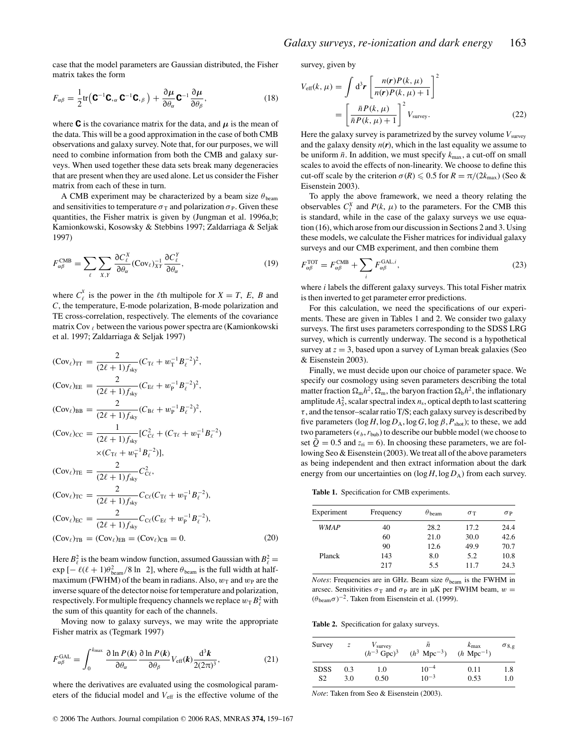case that the model parameters are Gaussian distributed, the Fisher matrix takes the form

$$
F_{\alpha\beta} = \frac{1}{2} \text{tr} \left( \mathbf{C}^{-1} \mathbf{C}_{,\alpha} \mathbf{C}^{-1} \mathbf{C}_{,\beta} \right) + \frac{\partial \mu}{\partial \theta_{\alpha}} \mathbf{C}^{-1} \frac{\partial \mu}{\partial \theta_{\beta}},
$$
(18)

where **C** is the covariance matrix for the data, and  $\mu$  is the mean of the data. This will be a good approximation in the case of both CMB observations and galaxy survey. Note that, for our purposes, we will need to combine information from both the CMB and galaxy surveys. When used together these data sets break many degeneracies that are present when they are used alone. Let us consider the Fisher matrix from each of these in turn.

A CMB experiment may be characterized by a beam size  $\theta_{\text{beam}}$ and sensitivities to temperature  $\sigma_{\text{T}}$  and polarization  $\sigma_{\text{P}}$ . Given these quantities, the Fisher matrix is given by (Jungman et al. 1996a,b; Kamionkowski, Kosowsky & Stebbins 1997; Zaldarriaga & Seljak 1997)

$$
F_{\alpha\beta}^{\text{CMB}} = \sum_{\ell} \sum_{X,Y} \frac{\partial C_{\ell}^{X}}{\partial \theta_{\alpha}} (\text{Cov}_{\ell})_{XY}^{-1} \frac{\partial C_{\ell}^{Y}}{\partial \theta_{\alpha}}, \qquad (19)
$$

where  $C_{\ell}^{X}$  is the power in the  $\ell$ th multipole for  $X = T$ , *E*, *B* and *C*, the temperature, E-mode polarization, B-mode polarization and TE cross-correlation, respectively. The elements of the covariance matrix Cov  $\ell$  between the various power spectra are (Kamionkowski et al. 1997; Zaldarriaga & Seljak 1997)

$$
(\text{Cov}_{\ell})_{\text{TT}} = \frac{2}{(2\ell+1)f_{\text{sky}}}(C_{\text{T}\ell} + w_{\text{T}}^{-1}B_{\ell}^{-2})^2,
$$
  
\n
$$
(\text{Cov}_{\ell})_{\text{EE}} = \frac{2}{(2\ell+1)f_{\text{sky}}}(C_{\text{E}\ell} + w_{\text{P}}^{-1}B_{\ell}^{-2})^2,
$$
  
\n
$$
(\text{Cov}_{\ell})_{\text{BB}} = \frac{2}{(2\ell+1)f_{\text{sky}}}(C_{\text{B}\ell} + w_{\text{P}}^{-1}B_{\ell}^{-2})^2,
$$
  
\n
$$
(\text{Cov}_{\ell})_{\text{CC}} = \frac{1}{(2\ell+1)f_{\text{sky}}}[C_{\text{C}\ell}^2 + (C_{\text{T}\ell} + w_{\text{T}}^{-1}B_{\ell}^{-2})
$$
  
\n
$$
\times (C_{\text{T}\ell} + w_{\text{T}}^{-1}B_{\ell}^{-2})],
$$
  
\n
$$
(\text{Cov}_{\ell})_{\text{TE}} = \frac{2}{(2\ell+1)f_{\text{sky}}}C_{\text{C}\ell}^2,
$$
  
\n
$$
(\text{Cov}_{\ell})_{\text{TC}} = \frac{2}{(2\ell+1)f_{\text{sky}}}C_{\text{CC}\ell}(C_{\text{T}\ell} + w_{\text{T}}^{-1}B_{\ell}^{-2}),
$$
  
\n
$$
(\text{Cov}_{\ell})_{\text{EC}} = \frac{2}{(2\ell+1)f_{\text{sky}}}C_{\text{CC}\ell}(C_{\text{E}\ell} + w_{\text{P}}^{-1}B_{\ell}^{-2}),
$$
  
\n
$$
(\text{Cov}_{\ell})_{\text{TB}} = (\text{Cov}_{\ell})_{\text{CB}} = 0.
$$
  
\n(20)

Here  $B_\ell^2$  is the beam window function, assumed Gaussian with  $B_\ell^2 =$  $\exp[-\ell(\ell+1)\theta_{\text{beam}}^2/8 \ln 2]$ , where  $\theta_{\text{beam}}$  is the full width at halfmaximum (FWHM) of the beam in radians. Also,  $w_T$  and  $w_P$  are the inverse square of the detector noise for temperature and polarization, respectively. For multiple frequency channels we replace  $w_{\text{T}} B_{\ell}^2$  with the sum of this quantity for each of the channels.

Moving now to galaxy surveys, we may write the appropriate Fisher matrix as (Tegmark 1997)

$$
F_{\alpha\beta}^{\text{GAL}} = \int_0^{k_{\text{max}}} \frac{\partial \ln P(k)}{\partial \theta_{\alpha}} \frac{\partial \ln P(k)}{\partial \theta_{\beta}} V_{\text{eff}}(k) \frac{\mathrm{d}^3 k}{2(2\pi)^3},
$$
(21)

where the derivatives are evaluated using the cosmological parameters of the fiducial model and  $V_{\text{eff}}$  is the effective volume of the survey, given by

$$
V_{\text{eff}}(k,\mu) = \int d^3 \boldsymbol{r} \left[ \frac{n(\boldsymbol{r}) P(k,\mu)}{n(\boldsymbol{r}) P(k,\mu) + 1} \right]^2
$$

$$
= \left[ \frac{\bar{n} P(k,\mu)}{\bar{n} P(k,\mu) + 1} \right]^2 V_{\text{survey}}.
$$
(22)

Here the galaxy survey is parametrized by the survey volume  $V_{\text{survey}}$ and the galaxy density  $n(r)$ , which in the last equality we assume to be uniform  $\bar{n}$ . In addition, we must specify  $k_{\text{max}}$ , a cut-off on small scales to avoid the effects of non-linearity. We choose to define this cut-off scale by the criterion  $\sigma(R) \leq 0.5$  for  $R = \pi/(2k_{\text{max}})$  (Seo & Eisenstein 2003).

To apply the above framework, we need a theory relating the observables  $C_l^X$  and  $P(k, \mu)$  to the parameters. For the CMB this is standard, while in the case of the galaxy surveys we use equation (16), which arose from our discussion in Sections 2 and 3. Using these models, we calculate the Fisher matrices for individual galaxy surveys and our CMB experiment, and then combine them

$$
F_{\alpha\beta}^{\text{TOT}} = F_{\alpha\beta}^{\text{CMB}} + \sum_{i} F_{\alpha\beta}^{\text{GAL},i},\tag{23}
$$

where *i* labels the different galaxy surveys. This total Fisher matrix is then inverted to get parameter error predictions.

For this calculation, we need the specifications of our experiments. These are given in Tables 1 and 2. We consider two galaxy surveys. The first uses parameters corresponding to the SDSS LRG survey, which is currently underway. The second is a hypothetical survey at  $z = 3$ , based upon a survey of Lyman break galaxies (Seo & Eisenstein 2003).

Finally, we must decide upon our choice of parameter space. We specify our cosmology using seven parameters describing the total matter fraction  $\Omega_{\rm m} h^2$ ,  $\Omega_{\rm m}$ , the baryon fraction  $\Omega_{\rm b} h^2$ , the inflationary amplitude  $A^2_S$ , scalar spectral index  $n_s$ , optical depth to last scattering  $\tau$ , and the tensor–scalar ratio T/S; each galaxy survey is described by five parameters  $(\log H, \log D_A, \log G, \log \beta, P_{\text{shot}})$ ; to these, we add two parameters  $(\epsilon_b, r_{\text{bub}})$  to describe our bubble model (we choose to set  $\overline{Q} = 0.5$  and  $z_{\rm ri} = 6$ ). In choosing these parameters, we are following Seo & Eisenstein (2003). We treat all of the above parameters as being independent and then extract information about the dark energy from our uncertainties on  $(\log H, \log D_A)$  from each survey.

**Table 1.** Specification for CMB experiments.

| Experiment  | Frequency | $\theta_{\text{beam}}$ | $\sigma$ T | $\sigma_{\rm P}$ |
|-------------|-----------|------------------------|------------|------------------|
| <b>WMAP</b> | 40        | 28.2                   | 17.2       | 24.4             |
|             | 60        | 21.0                   | 30.0       | 42.6             |
|             | 90        | 12.6                   | 49.9       | 70.7             |
| Planck      | 143       | 8.0                    | 5.2        | 10.8             |
|             | 217       | 5.5                    | 11.7       | 24.3             |

*Notes*: Frequencies are in GHz. Beam size  $\theta_{\text{beam}}$  is the FWHM in arcsec. Sensitivities  $\sigma_T$  and  $\sigma_P$  are in  $\mu$ K per FWHM beam,  $w =$  $(\theta_{\text{beam}}\sigma)^{-2}$ . Taken from Eisenstein et al. (1999).

**Table 2.** Specification for galaxy surveys.

| Survey         | Ζ   | $V_{\text{survey}}$<br>$(h^{-3} \text{ Gpc})^3$ | $\bar{n}$<br>$(h^3 \text{ Mpc}^{-3})$ | $k_{\rm max}$<br>$(h \text{ Mpc}^{-1})$ | $\sigma_{8,g}$ |
|----------------|-----|-------------------------------------------------|---------------------------------------|-----------------------------------------|----------------|
| <b>SDSS</b>    | 0.3 | 1.0                                             | $10^{-4}$                             | 0.11                                    | 1.8            |
| S <sub>2</sub> | 3.0 | 0.50                                            | $10^{-3}$                             | 0.53                                    | 1.0            |

*Note*: Taken from Seo & Eisenstein (2003).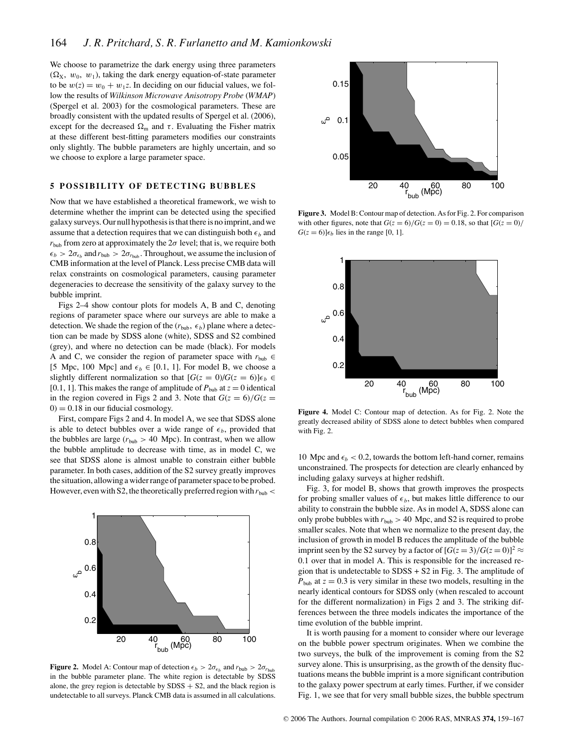We choose to parametrize the dark energy using three parameters  $(\Omega_X, w_0, w_1)$ , taking the dark energy equation-of-state parameter to be  $w(z) = w_0 + w_1 z$ . In deciding on our fiducial values, we follow the results of *Wilkinson Microwave Anisotropy Probe* (*WMAP*) (Spergel et al. 2003) for the cosmological parameters. These are broadly consistent with the updated results of Spergel et al. (2006), except for the decreased  $\Omega_{\rm m}$  and  $\tau$ . Evaluating the Fisher matrix at these different best-fitting parameters modifies our constraints only slightly. The bubble parameters are highly uncertain, and so we choose to explore a large parameter space.

## **5 POSSIBILITY OF DETECTING BUBBLES**

Now that we have established a theoretical framework, we wish to determine whether the imprint can be detected using the specified galaxy surveys. Our null hypothesis is that there is no imprint, and we assume that a detection requires that we can distinguish both  $\epsilon_b$  and  $r_{\text{bub}}$  from zero at approximately the  $2\sigma$  level; that is, we require both  $\epsilon_b > 2\sigma_{\epsilon_b}$  and  $r_{\text{bub}} > 2\sigma_{r_{\text{bub}}}$ . Throughout, we assume the inclusion of CMB information at the level of Planck. Less precise CMB data will relax constraints on cosmological parameters, causing parameter degeneracies to decrease the sensitivity of the galaxy survey to the bubble imprint.

Figs 2–4 show contour plots for models A, B and C, denoting regions of parameter space where our surveys are able to make a detection. We shade the region of the  $(r_{\text{bub}}, \epsilon_b)$  plane where a detection can be made by SDSS alone (white), SDSS and S2 combined (grey), and where no detection can be made (black). For models A and C, we consider the region of parameter space with  $r_{\text{bub}} \in$ [5 Mpc, 100 Mpc] and  $\epsilon_b \in [0.1, 1]$ . For model B, we choose a slightly different normalization so that  $[G(z = 0)/G(z = 6)]\epsilon_b \in$ [0.1, 1]. This makes the range of amplitude of  $P_{\text{bub}}$  at  $z = 0$  identical in the region covered in Figs 2 and 3. Note that  $G(z = 6)/G(z = 1)$  $0 = 0.18$  in our fiducial cosmology.

First, compare Figs 2 and 4. In model A, we see that SDSS alone is able to detect bubbles over a wide range of  $\epsilon_b$ , provided that the bubbles are large ( $r_{\text{bub}} > 40$  Mpc). In contrast, when we allow the bubble amplitude to decrease with time, as in model C, we see that SDSS alone is almost unable to constrain either bubble parameter. In both cases, addition of the S2 survey greatly improves the situation, allowing a wider range of parameter space to be probed. However, even with S2, the theoretically preferred region with  $r_{\text{bub}}$  <



**Figure 2.** Model A: Contour map of detection  $\epsilon_b > 2\sigma_{\epsilon_b}$  and  $r_{\text{bub}} > 2\sigma_{r_{\text{bub}}}$ in the bubble parameter plane. The white region is detectable by SDSS alone, the grey region is detectable by  $SDSS + S2$ , and the black region is undetectable to all surveys. Planck CMB data is assumed in all calculations.



**Figure 3.** Model B: Contour map of detection. As for Fig. 2. For comparison with other figures, note that  $G(z = 6)/G(z = 0) = 0.18$ , so that  $[G(z = 0)/G(z = 0)]$  $G(z = 6)$ ] $\epsilon_b$  lies in the range [0, 1].



**Figure 4.** Model C: Contour map of detection. As for Fig. 2. Note the greatly decreased ability of SDSS alone to detect bubbles when compared with Fig. 2.

10 Mpc and  $\epsilon_b < 0.2$ , towards the bottom left-hand corner, remains unconstrained. The prospects for detection are clearly enhanced by including galaxy surveys at higher redshift.

Fig. 3, for model B, shows that growth improves the prospects for probing smaller values of  $\epsilon_b$ , but makes little difference to our ability to constrain the bubble size. As in model A, SDSS alone can only probe bubbles with  $r_{\text{bub}} > 40$  Mpc, and S2 is required to probe smaller scales. Note that when we normalize to the present day, the inclusion of growth in model B reduces the amplitude of the bubble imprint seen by the S2 survey by a factor of  $[G(z=3)/G(z=0)]^2 \approx$ 0.1 over that in model A. This is responsible for the increased region that is undetectable to SDSS + S2 in Fig. 3. The amplitude of  $P_{\text{bub}}$  at  $z = 0.3$  is very similar in these two models, resulting in the nearly identical contours for SDSS only (when rescaled to account for the different normalization) in Figs 2 and 3. The striking differences between the three models indicates the importance of the time evolution of the bubble imprint.

It is worth pausing for a moment to consider where our leverage on the bubble power spectrum originates. When we combine the two surveys, the bulk of the improvement is coming from the S2 survey alone. This is unsurprising, as the growth of the density fluctuations means the bubble imprint is a more significant contribution to the galaxy power spectrum at early times. Further, if we consider Fig. 1, we see that for very small bubble sizes, the bubble spectrum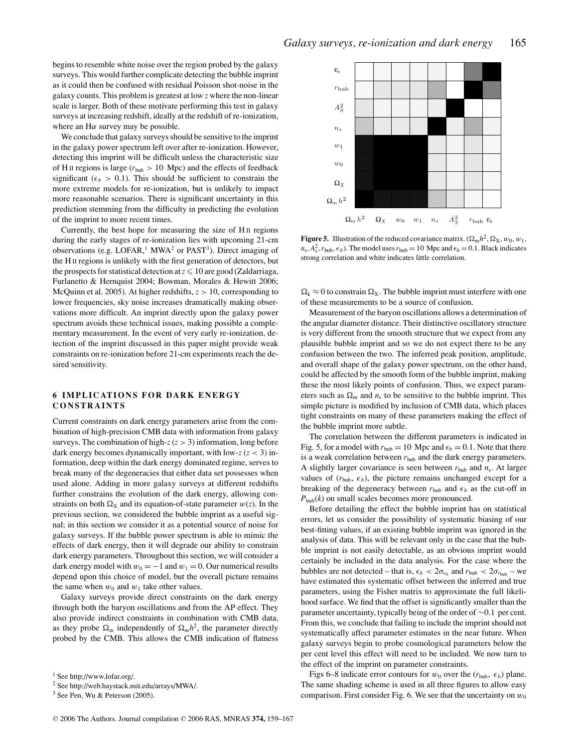begins to resemble white noise over the region probed by the galaxy surveys. This would further complicate detecting the bubble imprint as it could then be confused with residual Poisson shot-noise in the galaxy counts. This problem is greatest at low *z* where the non-linear scale is larger. Both of these motivate performing this test in galaxy surveys at increasing redshift, ideally at the redshift of re-ionization, where an  $H\alpha$  survey may be possible.

We conclude that galaxy surveys should be sensitive to the imprint in the galaxy power spectrum left over after re-ionization. However, detecting this imprint will be difficult unless the characteristic size of H<sub>II</sub> regions is large ( $r_{\text{bub}} > 10$  Mpc) and the effects of feedback significant ( $\epsilon_b > 0.1$ ). This should be sufficient to constrain the more extreme models for re-ionization, but is unlikely to impact more reasonable scenarios. There is significant uncertainty in this prediction stemming from the difficulty in predicting the evolution of the imprint to more recent times.

Currently, the best hope for measuring the size of H II regions during the early stages of re-ionization lies with upcoming 21-cm observations (e.g. LOFAR, $1$  MWA<sup>2</sup> or PAST<sup>3</sup>). Direct imaging of the H II regions is unlikely with the first generation of detectors, but the prospects for statistical detection at  $z \leqslant 10$  are good (Zaldarriaga, Furlanetto & Hernquist 2004; Bowman, Morales & Hewitt 2006; McQuinn et al. 2005). At higher redshifts,  $z > 10$ , corresponding to lower frequencies, sky noise increases dramatically making observations more difficult. An imprint directly upon the galaxy power spectrum avoids these technical issues, making possible a complementary measurement. In the event of very early re-ionization, detection of the imprint discussed in this paper might provide weak constraints on re-ionization before 21-cm experiments reach the desired sensitivity.

## **6 IMPLICATIONS FOR DARK ENERGY CONSTRAINTS**

Current constraints on dark energy parameters arise from the combination of high-precision CMB data with information from galaxy surveys. The combination of high-*z*(*z* > 3) information, long before dark energy becomes dynamically important, with low-*z* (*z* < 3) information, deep within the dark energy dominated regime, serves to break many of the degeneracies that either data set possesses when used alone. Adding in more galaxy surveys at different redshifts further constrains the evolution of the dark energy, allowing constraints on both  $\Omega_X$  and its equation-of-state parameter  $w(z)$ . In the previous section, we considered the bubble imprint as a useful signal; in this section we consider it as a potential source of noise for galaxy surveys. If the bubble power spectrum is able to mimic the effects of dark energy, then it will degrade our ability to constrain dark energy parameters. Throughout this section, we will consider a dark energy model with  $w_0 = -1$  and  $w_1 = 0$ . Our numerical results depend upon this choice of model, but the overall picture remains the same when  $w_0$  and  $w_1$  take other values.

Galaxy surveys provide direct constraints on the dark energy through both the baryon oscillations and from the AP effect. They also provide indirect constraints in combination with CMB data, as they probe  $\Omega_{\rm m}$  independently of  $\Omega_{\rm m} h^2$ , the parameter directly probed by the CMB. This allows the CMB indication of flatness



**Figure 5.** Illustration of the reduced covariance matrix.  $(\Omega_m h^2, \Omega_X, w_0, w_1,$  $n_s$ ,  $A_s^2$ ,  $r_{\text{bub}}$ ,  $\epsilon_b$ ). The model uses  $r_{\text{bub}} = 10$  Mpc and  $\epsilon_b = 0.1$ . Black indicates strong correlation and white indicates little correlation.

 $\Omega_k \approx 0$  to constrain  $\Omega_X$ . The bubble imprint must interfere with one of these measurements to be a source of confusion.

Measurement of the baryon oscillations allows a determination of the angular diameter distance. Their distinctive oscillatory structure is very different from the smooth structure that we expect from any plausible bubble imprint and so we do not expect there to be any confusion between the two. The inferred peak position, amplitude, and overall shape of the galaxy power spectrum, on the other hand, could be affected by the smooth form of the bubble imprint, making these the most likely points of confusion. Thus, we expect parameters such as  $\Omega_{\rm m}$  and  $n_{\rm s}$  to be sensitive to the bubble imprint. This simple picture is modified by inclusion of CMB data, which places tight constraints on many of these parameters making the effect of the bubble imprint more subtle.

The correlation between the different parameters is indicated in Fig. 5, for a model with  $r_{\text{bub}} = 10$  Mpc and  $\epsilon_b = 0.1$ . Note that there is a weak correlation between  $r_{\text{bub}}$  and the dark energy parameters. A slightly larger covariance is seen between  $r_{\text{bub}}$  and  $n_s$ . At larger values of  $(r_{\text{bub}}, \epsilon_b)$ , the picture remains unchanged except for a breaking of the degeneracy between  $r_{\text{bub}}$  and  $\epsilon_b$  as the cut-off in  $P_{\text{bub}}(k)$  on small scales becomes more pronounced.

Before detailing the effect the bubble imprint has on statistical errors, let us consider the possibility of systematic biasing of our best-fitting values, if an existing bubble imprint was ignored in the analysis of data. This will be relevant only in the case that the bubble imprint is not easily detectable, as an obvious imprint would certainly be included in the data analysis. For the case where the bubbles are not detected – that is,  $\epsilon_b < 2\sigma_{\epsilon_b}$  and  $r_{\text{bub}} < 2\sigma_{r_{\text{bub}}}$  – we have estimated this systematic offset between the inferred and true parameters, using the Fisher matrix to approximate the full likelihood surface. We find that the offset is significantly smaller than the parameter uncertainty, typically being of the order of ∼0.1 per cent. From this, we conclude that failing to include the imprint should not systematically affect parameter estimates in the near future. When galaxy surveys begin to probe cosmological parameters below the per cent level this effect will need to be included. We now turn to the effect of the imprint on parameter constraints.

Figs 6–8 indicate error contours for  $w_0$  over the ( $r_{\text{bub}}$ ,  $\epsilon_b$ ) plane. The same shading scheme is used in all three figures to allow easy comparison. First consider Fig. 6. We see that the uncertainty on  $w_0$ 

<sup>1</sup> See http://www.lofar.org/.

<sup>2</sup> See http://web.haystack.mit.edu/arrays/MWA/.

<sup>3</sup> See Pen, Wu & Peterson (2005).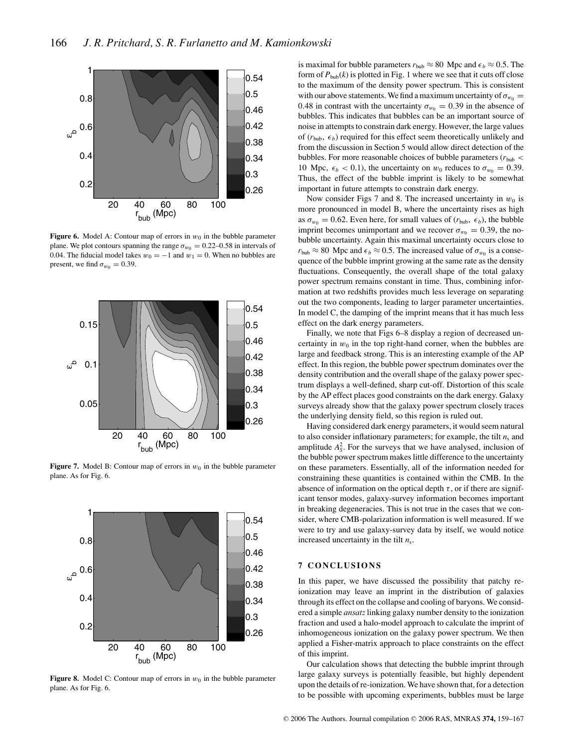

**Figure 6.** Model A: Contour map of errors in  $w_0$  in the bubble parameter plane. We plot contours spanning the range  $\sigma_{w_0} = 0.22{\text -}0.58$  in intervals of 0.04. The fiducial model takes  $w_0 = -1$  and  $w_1 = 0$ . When no bubbles are present, we find  $\sigma_{w_0} = 0.39$ .



**Figure 7.** Model B: Contour map of errors in  $w_0$  in the bubble parameter plane. As for Fig. 6.



**Figure 8.** Model C: Contour map of errors in  $w_0$  in the bubble parameter plane. As for Fig. 6.

is maximal for bubble parameters  $r_{\text{bub}} \approx 80$  Mpc and  $\epsilon_b \approx 0.5$ . The form of  $P_{\text{bub}}(k)$  is plotted in Fig. 1 where we see that it cuts off close to the maximum of the density power spectrum. This is consistent with our above statements. We find a maximum uncertainty of  $\sigma_{w_0} =$ 0.48 in contrast with the uncertainty  $\sigma_{w_0} = 0.39$  in the absence of bubbles. This indicates that bubbles can be an important source of noise in attempts to constrain dark energy. However, the large values of  $(r_{\text{bub}}, \epsilon_b)$  required for this effect seem theoretically unlikely and from the discussion in Section 5 would allow direct detection of the bubbles. For more reasonable choices of bubble parameters ( $r_{\text{bub}}$  < 10 Mpc,  $\epsilon_b$  < 0.1), the uncertainty on  $w_0$  reduces to  $\sigma_{w_0} = 0.39$ . Thus, the effect of the bubble imprint is likely to be somewhat important in future attempts to constrain dark energy.

Now consider Figs 7 and 8. The increased uncertainty in  $w_0$  is more pronounced in model B, where the uncertainty rises as high as  $\sigma_{w_0} = 0.62$ . Even here, for small values of ( $r_{\text{bub}}$ ,  $\epsilon_b$ ), the bubble imprint becomes unimportant and we recover  $\sigma_{w_0} = 0.39$ , the nobubble uncertainty. Again this maximal uncertainty occurs close to  $r_{\text{bub}} \approx 80$  Mpc and  $\epsilon_b \approx 0.5$ . The increased value of  $\sigma_{w_0}$  is a consequence of the bubble imprint growing at the same rate as the density fluctuations. Consequently, the overall shape of the total galaxy power spectrum remains constant in time. Thus, combining information at two redshifts provides much less leverage on separating out the two components, leading to larger parameter uncertainties. In model C, the damping of the imprint means that it has much less effect on the dark energy parameters.

Finally, we note that Figs 6–8 display a region of decreased uncertainty in  $w_0$  in the top right-hand corner, when the bubbles are large and feedback strong. This is an interesting example of the AP effect. In this region, the bubble power spectrum dominates over the density contribution and the overall shape of the galaxy power spectrum displays a well-defined, sharp cut-off. Distortion of this scale by the AP effect places good constraints on the dark energy. Galaxy surveys already show that the galaxy power spectrum closely traces the underlying density field, so this region is ruled out.

Having considered dark energy parameters, it would seem natural to also consider inflationary parameters; for example, the tilt  $n<sub>s</sub>$  and amplitude  $A_S^2$ . For the surveys that we have analysed, inclusion of the bubble power spectrum makes little difference to the uncertainty on these parameters. Essentially, all of the information needed for constraining these quantities is contained within the CMB. In the absence of information on the optical depth  $\tau$ , or if there are significant tensor modes, galaxy-survey information becomes important in breaking degeneracies. This is not true in the cases that we consider, where CMB-polarization information is well measured. If we were to try and use galaxy-survey data by itself, we would notice increased uncertainty in the tilt *n*s.

## **7 CONCLUSIONS**

In this paper, we have discussed the possibility that patchy reionization may leave an imprint in the distribution of galaxies through its effect on the collapse and cooling of baryons. We considered a simple *ansatz*linking galaxy number density to the ionization fraction and used a halo-model approach to calculate the imprint of inhomogeneous ionization on the galaxy power spectrum. We then applied a Fisher-matrix approach to place constraints on the effect of this imprint.

Our calculation shows that detecting the bubble imprint through large galaxy surveys is potentially feasible, but highly dependent upon the details of re-ionization. We have shown that, for a detection to be possible with upcoming experiments, bubbles must be large